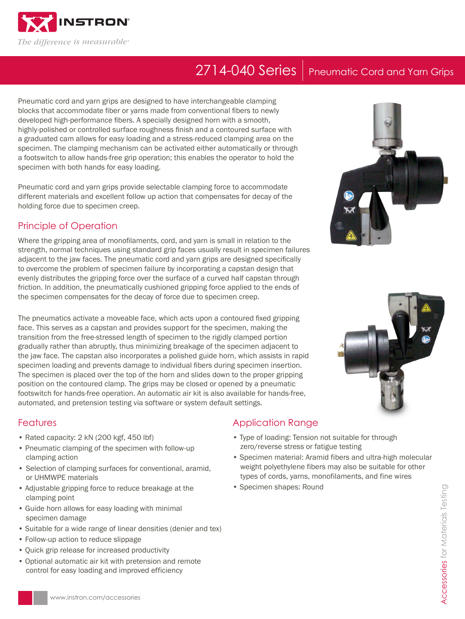

# 2714-040 Series | Pneumatic Cord and Yarn Grips

Pneumatic cord and yarn grips are designed to have interchangeable clamping blocks that accommodate fiber or yarns made from conventional fibers to newly developed high-performance fibers. A specially designed horn with a smooth, highly-polished or controlled surface roughness finish and a contoured surface with a graduated cam allows for easy loading and a stress-reduced clamping area on the specimen. The clamping mechanism can be activated either automatically or through a footswitch to allow hands-free grip operation; this enables the operator to hold the specimen with both hands for easy loading.

Pneumatic cord and yarn grips provide selectable clamping force to accommodate different materials and excellent follow up action that compensates for decay of the holding force due to specimen creep.

### Principle of Operation

Where the gripping area of monofilaments, cord, and yarn is small in relation to the strength, normal techniques using standard grip faces usually result in specimen failures adjacent to the jaw faces. The pneumatic cord and yarn grips are designed specifically to overcome the problem of specimen failure by incorporating a capstan design that evenly distributes the gripping force over the surface of a curved half capstan through friction. In addition, the pneumatically cushioned gripping force applied to the ends of the specimen compensates for the decay of force due to specimen creep.

The pneumatics activate a moveable face, which acts upon a contoured fixed gripping face. This serves as a capstan and provides support for the specimen, making the transition from the free-stressed length of specimen to the rigidly clamped portion gradually rather than abruptly, thus minimizing breakage of the specimen adjacent to the jaw face. The capstan also incorporates a polished guide horn, which assists in rapid specimen loading and prevents damage to individual fibers during specimen insertion. The specimen is placed over the top of the horn and slides down to the proper gripping position on the contoured clamp. The grips may be closed or opened by a pneumatic footswitch for hands-free operation. An automatic air kit is also available for hands-free, automated, and pretension testing via software or system default settings.

### **Features**

- Rated capacity: 2 kN (200 kgf, 450 lbf)
- Pneumatic clamping of the specimen with follow-up clamping action
- Selection of clamping surfaces for conventional, aramid, or UHMWPE materials
- Adjustable gripping force to reduce breakage at the clamping point
- Guide horn allows for easy loading with minimal specimen damage
- Suitable for a wide range of linear densities (denier and tex)
- Follow-up action to reduce slippage
- Quick grip release for increased productivity
- Optional automatic air kit with pretension and remote control for easy loading and improved efficiency

## Application Range

- Type of loading: Tension not suitable for through zero/reverse stress or fatigue testing
- Specimen material: Aramid fibers and ultra-high molecular weight polyethylene fibers may also be suitable for other types of cords, yarns, monofilaments, and fine wires
- Specimen shapes: Round





www.instron.com/accessories